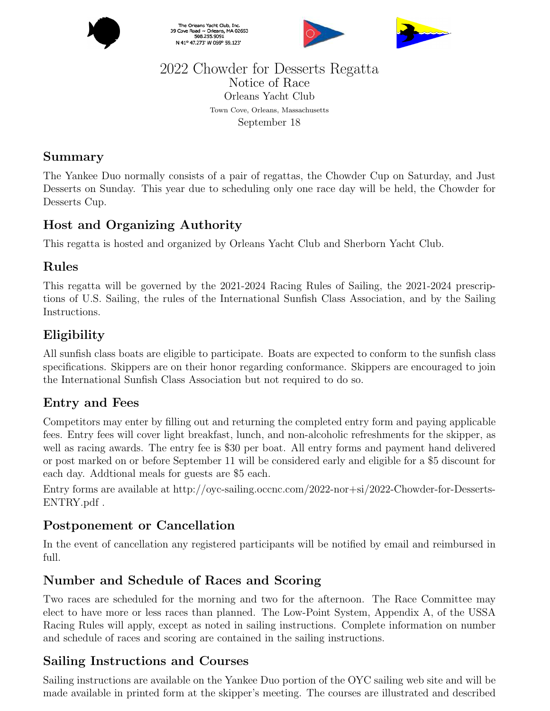

The Orleans Yacht Club, Inc.<br>39 Cove Road ~ Orleans, MA 02653<br>508.255.9091 N 41° 47.273' W 069° 59.123'





#### 2022 Chowder for Desserts Regatta Notice of Race Orleans Yacht Club Town Cove, Orleans, Massachusetts September 18

### Summary

The Yankee Duo normally consists of a pair of regattas, the Chowder Cup on Saturday, and Just Desserts on Sunday. This year due to scheduling only one race day will be held, the Chowder for Desserts Cup.

# Host and Organizing Authority

This regatta is hosted and organized by Orleans Yacht Club and Sherborn Yacht Club.

#### Rules

This regatta will be governed by the 2021-2024 Racing Rules of Sailing, the 2021-2024 prescriptions of U.S. Sailing, the rules of the International Sunfish Class Association, and by the Sailing Instructions.

# Eligibility

All sunfish class boats are eligible to participate. Boats are expected to conform to the sunfish class specifications. Skippers are on their honor regarding conformance. Skippers are encouraged to join the International Sunfish Class Association but not required to do so.

### Entry and Fees

Competitors may enter by filling out and returning the completed entry form and paying applicable fees. Entry fees will cover light breakfast, lunch, and non-alcoholic refreshments for the skipper, as well as racing awards. The entry fee is \$30 per boat. All entry forms and payment hand delivered or post marked on or before September 11 will be considered early and eligible for a \$5 discount for each day. Addtional meals for guests are \$5 each.

Entry forms are available at http://oyc-sailing.occnc.com/2022-nor+si/2022-Chowder-for-Desserts-ENTRY.pdf .

### Postponement or Cancellation

In the event of cancellation any registered participants will be notified by email and reimbursed in full.

### Number and Schedule of Races and Scoring

Two races are scheduled for the morning and two for the afternoon. The Race Committee may elect to have more or less races than planned. The Low-Point System, Appendix A, of the USSA Racing Rules will apply, except as noted in sailing instructions. Complete information on number and schedule of races and scoring are contained in the sailing instructions.

# Sailing Instructions and Courses

Sailing instructions are available on the Yankee Duo portion of the OYC sailing web site and will be made available in printed form at the skipper's meeting. The courses are illustrated and described